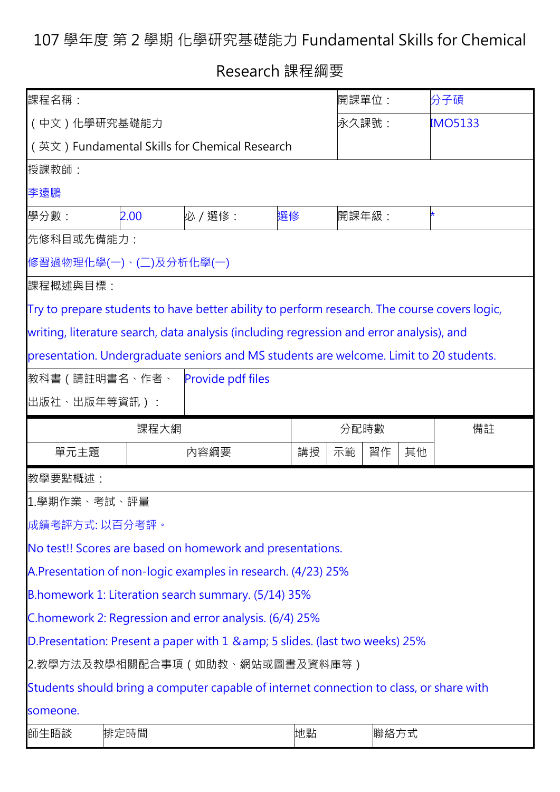## 107 學年度 第 2 學期 化學研究基礎能力 Fundamental Skills for Chemical

Research 課程綱要

| 課程名稱:                                                                                  |                                                                                                                                                                                                      |                                                                                         |    |       | 開課單位: |    | 分子碩            |  |  |  |  |
|----------------------------------------------------------------------------------------|------------------------------------------------------------------------------------------------------------------------------------------------------------------------------------------------------|-----------------------------------------------------------------------------------------|----|-------|-------|----|----------------|--|--|--|--|
| (中文)化學研究基礎能力                                                                           |                                                                                                                                                                                                      |                                                                                         |    |       | 永久課號: |    | <b>IMO5133</b> |  |  |  |  |
| (英文) Fundamental Skills for Chemical Research                                          |                                                                                                                                                                                                      |                                                                                         |    |       |       |    |                |  |  |  |  |
| 授課教師:                                                                                  |                                                                                                                                                                                                      |                                                                                         |    |       |       |    |                |  |  |  |  |
| 李遠鵬                                                                                    |                                                                                                                                                                                                      |                                                                                         |    |       |       |    |                |  |  |  |  |
| 學分數:                                                                                   | 2.00                                                                                                                                                                                                 | 必 / 選修:                                                                                 | 選修 | 開課年級: |       | *  |                |  |  |  |  |
| 先修科目或先備能力:                                                                             |                                                                                                                                                                                                      |                                                                                         |    |       |       |    |                |  |  |  |  |
|                                                                                        | 修習過物理化學(一)、(二)及分析化學(一)                                                                                                                                                                               |                                                                                         |    |       |       |    |                |  |  |  |  |
|                                                                                        | 課程概述與目標:<br>Try to prepare students to have better ability to perform research. The course covers logic,<br>writing, literature search, data analysis (including regression and error analysis), and |                                                                                         |    |       |       |    |                |  |  |  |  |
|                                                                                        |                                                                                                                                                                                                      |                                                                                         |    |       |       |    |                |  |  |  |  |
|                                                                                        |                                                                                                                                                                                                      |                                                                                         |    |       |       |    |                |  |  |  |  |
| presentation. Undergraduate seniors and MS students are welcome. Limit to 20 students. |                                                                                                                                                                                                      |                                                                                         |    |       |       |    |                |  |  |  |  |
|                                                                                        | 教科書 ( 請註明書名、作者、<br><b>Provide pdf files</b>                                                                                                                                                          |                                                                                         |    |       |       |    |                |  |  |  |  |
| 出版社、出版年等資訊 ) :                                                                         |                                                                                                                                                                                                      |                                                                                         |    |       |       |    |                |  |  |  |  |
|                                                                                        |                                                                                                                                                                                                      |                                                                                         |    |       |       |    |                |  |  |  |  |
|                                                                                        | 課程大網                                                                                                                                                                                                 |                                                                                         |    | 分配時數  |       |    | 備註             |  |  |  |  |
| 單元主題                                                                                   |                                                                                                                                                                                                      | 内容綱要                                                                                    | 講授 | 示範    | 習作    | 其他 |                |  |  |  |  |
| 教學要點概述:                                                                                |                                                                                                                                                                                                      |                                                                                         |    |       |       |    |                |  |  |  |  |
| 1.學期作業、考試、評量                                                                           |                                                                                                                                                                                                      |                                                                                         |    |       |       |    |                |  |  |  |  |
| 成績考評方式:以百分考評。                                                                          |                                                                                                                                                                                                      |                                                                                         |    |       |       |    |                |  |  |  |  |
|                                                                                        |                                                                                                                                                                                                      | No test!! Scores are based on homework and presentations.                               |    |       |       |    |                |  |  |  |  |
|                                                                                        |                                                                                                                                                                                                      | A.Presentation of non-logic examples in research. (4/23) 25%                            |    |       |       |    |                |  |  |  |  |
|                                                                                        |                                                                                                                                                                                                      | B.homework 1: Literation search summary. (5/14) 35%                                     |    |       |       |    |                |  |  |  |  |
|                                                                                        |                                                                                                                                                                                                      | C.homework 2: Regression and error analysis. (6/4) 25%                                  |    |       |       |    |                |  |  |  |  |
|                                                                                        |                                                                                                                                                                                                      | D. Presentation: Present a paper with 1 & amp; 5 slides. (last two weeks) 25%           |    |       |       |    |                |  |  |  |  |
|                                                                                        |                                                                                                                                                                                                      | 2.教學方法及教學相關配合事項(如助教、網站或圖書及資料庫等)                                                         |    |       |       |    |                |  |  |  |  |
|                                                                                        |                                                                                                                                                                                                      | Students should bring a computer capable of internet connection to class, or share with |    |       |       |    |                |  |  |  |  |
| someone.                                                                               |                                                                                                                                                                                                      |                                                                                         |    |       |       |    |                |  |  |  |  |
| 師生晤談                                                                                   | 排定時間                                                                                                                                                                                                 |                                                                                         | 地點 |       | 聯絡方式  |    |                |  |  |  |  |